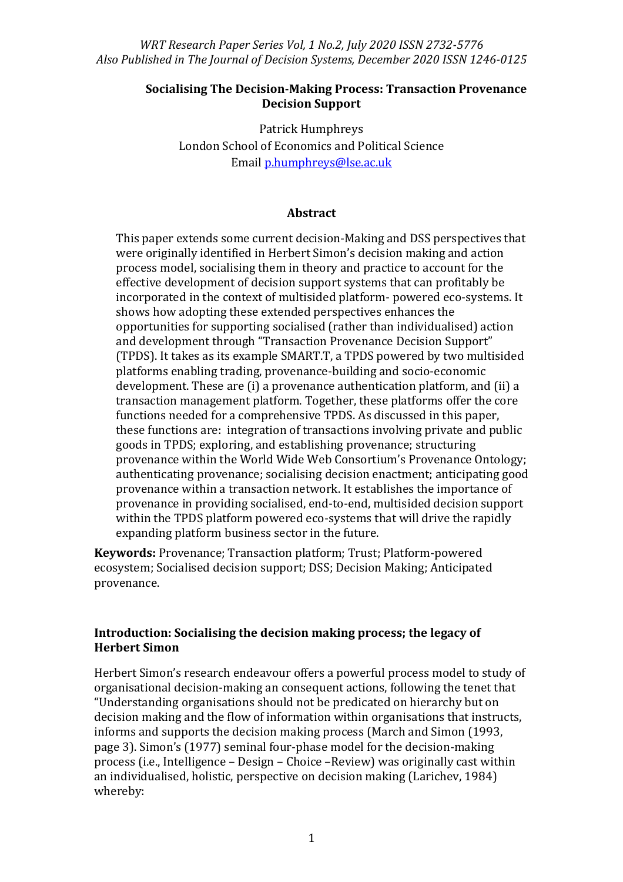#### **Socialising The Decision-Making Process: Transaction Provenance Decision Support**

Patrick Humphreys London School of Economics and Political Science Emai[l p.humphreys@lse.ac.uk](mailto:p.humphreys@lse.ac.uk)

#### **Abstract**

This paper extends some current decision-Making and DSS perspectives that were originally identified in Herbert Simon's decision making and action process model, socialising them in theory and practice to account for the effective development of decision support systems that can profitably be incorporated in the context of multisided platform- powered eco-systems. It shows how adopting these extended perspectives enhances the opportunities for supporting socialised (rather than individualised) action and development through "Transaction Provenance Decision Support" (TPDS). It takes as its example SMART.T, a TPDS powered by two multisided platforms enabling trading, provenance-building and socio-economic development. These are (i) a provenance authentication platform, and (ii) a transaction management platform. Together, these platforms offer the core functions needed for a comprehensive TPDS. As discussed in this paper, these functions are: integration of transactions involving private and public goods in TPDS; exploring, and establishing provenance; structuring provenance within the World Wide Web Consortium's Provenance Ontology; authenticating provenance; socialising decision enactment; anticipating good provenance within a transaction network. It establishes the importance of provenance in providing socialised, end-to-end, multisided decision support within the TPDS platform powered eco-systems that will drive the rapidly expanding platform business sector in the future.

**Keywords:** Provenance; Transaction platform; Trust; Platform-powered ecosystem; Socialised decision support; DSS; Decision Making; Anticipated provenance.

### **Introduction: Socialising the decision making process; the legacy of Herbert Simon**

Herbert Simon's research endeavour offers a powerful process model to study of organisational decision-making an consequent actions, following the tenet that "Understanding organisations should not be predicated on hierarchy but on decision making and the flow of information within organisations that instructs, informs and supports the decision making process (March and Simon (1993, page 3). Simon's (1977) seminal four-phase model for the decision-making process (i.e., Intelligence – Design – Choice –Review) was originally cast within an individualised, holistic, perspective on decision making (Larichev, 1984) whereby: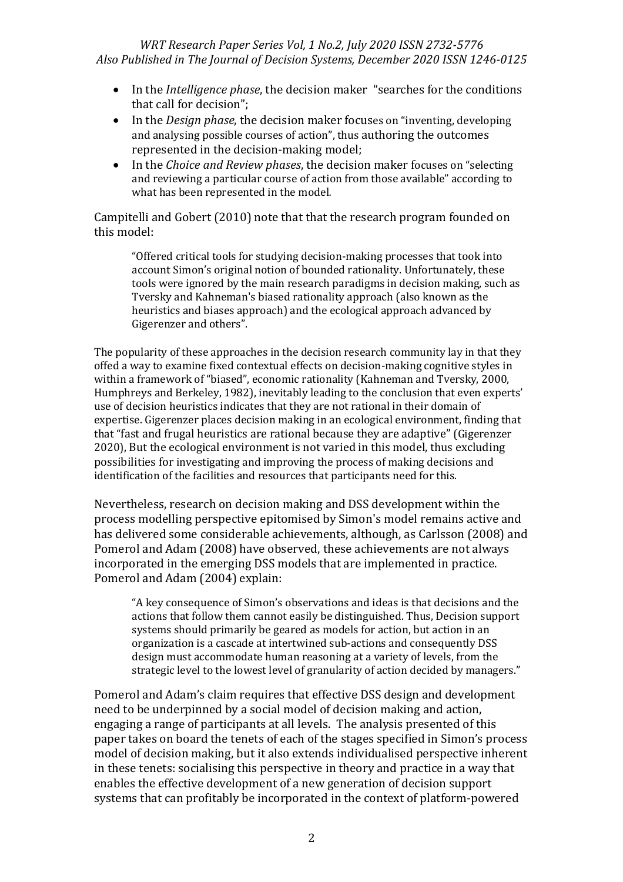- In the *Intelligence phase*, the decision maker "searches for the conditions that call for decision";
- In the *Design phase*, the decision maker focuses on "inventing, developing and analysing possible courses of action", thus authoring the outcomes represented in the decision-making model;
- In the *Choice and Review phases*, the decision maker focuses on "selecting and reviewing a particular course of action from those available" according to what has been represented in the model*.*

Campitelli and Gobert (2010) note that that the research program founded on this model:

"Offered critical tools for studying decision-making processes that took into account Simon's original notion of bounded rationality. Unfortunately, these tools were ignored by the main research paradigms in decision making, such as Tversky and Kahneman's biased rationality approach (also known as the heuristics and biases approach) and the ecological approach advanced by Gigerenzer and others".

The popularity of these approaches in the decision research community lay in that they offed a way to examine fixed contextual effects on decision-making cognitive styles in within a framework of "biased", economic rationality (Kahneman and Tversky, 2000, Humphreys and Berkeley, 1982), inevitably leading to the conclusion that even experts' use of decision heuristics indicates that they are not rational in their domain of expertise. Gigerenzer places decision making in an ecological environment, finding that that "fast and frugal heuristics are rational because they are adaptive" (Gigerenzer 2020), But the ecological environment is not varied in this model, thus excluding possibilities for investigating and improving the process of making decisions and identification of the facilities and resources that participants need for this.

Nevertheless, research on decision making and DSS development within the process modelling perspective epitomised by Simon's model remains active and has delivered some considerable achievements, although, as Carlsson (2008) and Pomerol and Adam (2008) have observed, these achievements are not always incorporated in the emerging DSS models that are implemented in practice. Pomerol and Adam (2004) explain:

"A key consequence of Simon's observations and ideas is that decisions and the actions that follow them cannot easily be distinguished. Thus, Decision support systems should primarily be geared as models for action, but action in an organization is a cascade at intertwined sub-actions and consequently DSS design must accommodate human reasoning at a variety of levels, from the strategic level to the lowest level of granularity of action decided by managers."

Pomerol and Adam's claim requires that effective DSS design and development need to be underpinned by a social model of decision making and action, engaging a range of participants at all levels. The analysis presented of this paper takes on board the tenets of each of the stages specified in Simon's process model of decision making, but it also extends individualised perspective inherent in these tenets: socialising this perspective in theory and practice in a way that enables the effective development of a new generation of decision support systems that can profitably be incorporated in the context of platform-powered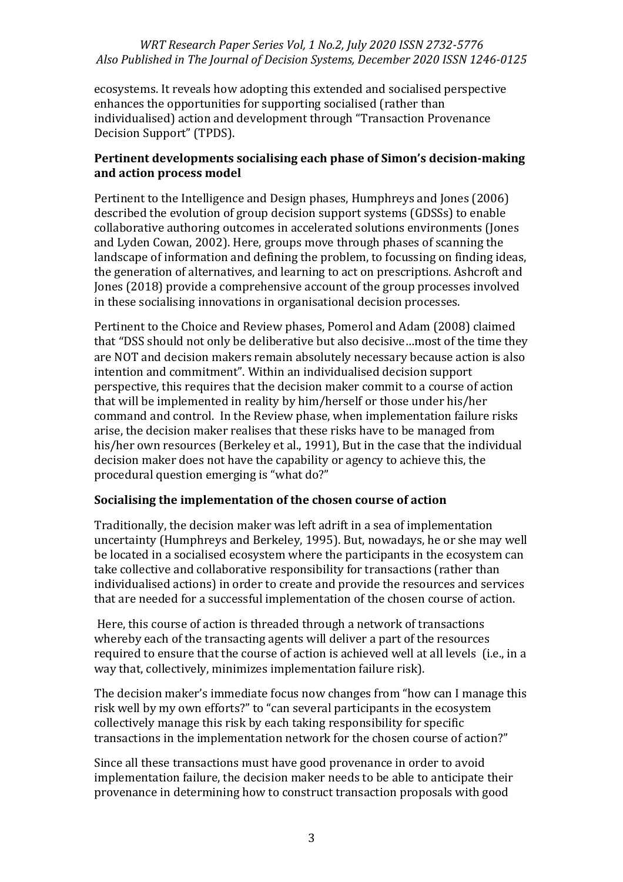ecosystems. It reveals how adopting this extended and socialised perspective enhances the opportunities for supporting socialised (rather than individualised) action and development through "Transaction Provenance Decision Support" (TPDS).

## **Pertinent developments socialising each phase of Simon's decision-making and action process model**

Pertinent to the Intelligence and Design phases, Humphreys and Jones (2006) described the evolution of group decision support systems (GDSSs) to enable collaborative authoring outcomes in accelerated solutions environments (Jones and Lyden Cowan, 2002). Here, groups move through phases of scanning the landscape of information and defining the problem, to focussing on finding ideas, the generation of alternatives, and learning to act on prescriptions. Ashcroft and Jones (2018) provide a comprehensive account of the group processes involved in these socialising innovations in organisational decision processes.

Pertinent to the Choice and Review phases, Pomerol and Adam (2008) claimed that "DSS should not only be deliberative but also decisive…most of the time they are NOT and decision makers remain absolutely necessary because action is also intention and commitment". Within an individualised decision support perspective, this requires that the decision maker commit to a course of action that will be implemented in reality by him/herself or those under his/her command and control. In the Review phase, when implementation failure risks arise, the decision maker realises that these risks have to be managed from his/her own resources (Berkeley et al., 1991), But in the case that the individual decision maker does not have the capability or agency to achieve this, the procedural question emerging is "what do?"

### **Socialising the implementation of the chosen course of action**

Traditionally, the decision maker was left adrift in a sea of implementation uncertainty (Humphreys and Berkeley, 1995). But, nowadays, he or she may well be located in a socialised ecosystem where the participants in the ecosystem can take collective and collaborative responsibility for transactions (rather than individualised actions) in order to create and provide the resources and services that are needed for a successful implementation of the chosen course of action.

Here, this course of action is threaded through a network of transactions whereby each of the transacting agents will deliver a part of the resources required to ensure that the course of action is achieved well at all levels (i.e., in a way that, collectively, minimizes implementation failure risk).

The decision maker's immediate focus now changes from "how can I manage this risk well by my own efforts?" to "can several participants in the ecosystem collectively manage this risk by each taking responsibility for specific transactions in the implementation network for the chosen course of action?"

Since all these transactions must have good provenance in order to avoid implementation failure, the decision maker needs to be able to anticipate their provenance in determining how to construct transaction proposals with good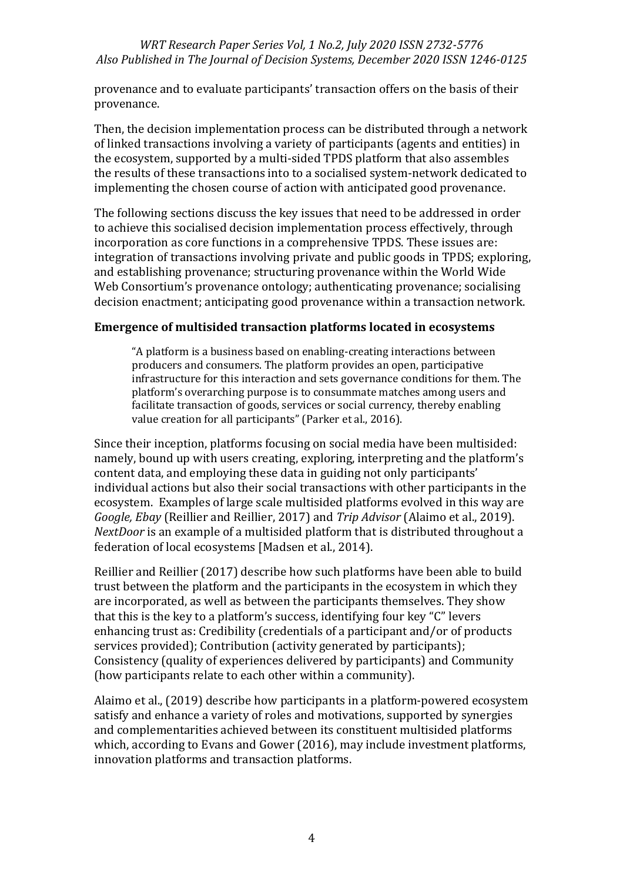provenance and to evaluate participants' transaction offers on the basis of their provenance.

Then, the decision implementation process can be distributed through a network of linked transactions involving a variety of participants (agents and entities) in the ecosystem, supported by a multi-sided TPDS platform that also assembles the results of these transactions into to a socialised system-network dedicated to implementing the chosen course of action with anticipated good provenance.

The following sections discuss the key issues that need to be addressed in order to achieve this socialised decision implementation process effectively, through incorporation as core functions in a comprehensive TPDS. These issues are: integration of transactions involving private and public goods in TPDS; exploring, and establishing provenance; structuring provenance within the World Wide Web Consortium's provenance ontology; authenticating provenance; socialising decision enactment; anticipating good provenance within a transaction network.

## **Emergence of multisided transaction platforms located in ecosystems**

"A platform is a business based on enabling-creating interactions between producers and consumers. The platform provides an open, participative infrastructure for this interaction and sets governance conditions for them. The platform's overarching purpose is to consummate matches among users and facilitate transaction of goods, services or social currency, thereby enabling value creation for all participants" (Parker et al., 2016).

Since their inception, platforms focusing on social media have been multisided: namely, bound up with users creating, exploring, interpreting and the platform's content data, and employing these data in guiding not only participants' individual actions but also their social transactions with other participants in the ecosystem. Examples of large scale multisided platforms evolved in this way are *Google, Ebay* (Reillier and Reillier, 2017) and *Trip Advisor* (Alaimo et al., 2019). *NextDoor* is an example of a multisided platform that is distributed throughout a federation of local ecosystems [Madsen et al., 2014).

Reillier and Reillier (2017) describe how such platforms have been able to build trust between the platform and the participants in the ecosystem in which they are incorporated, as well as between the participants themselves. They show that this is the key to a platform's success, identifying four key "C" levers enhancing trust as: Credibility (credentials of a participant and/or of products services provided); Contribution (activity generated by participants); Consistency (quality of experiences delivered by participants) and Community (how participants relate to each other within a community).

Alaimo et al., (2019) describe how participants in a platform-powered ecosystem satisfy and enhance a variety of roles and motivations, supported by synergies and complementarities achieved between its constituent multisided platforms which, according to Evans and Gower (2016), may include investment platforms, innovation platforms and transaction platforms.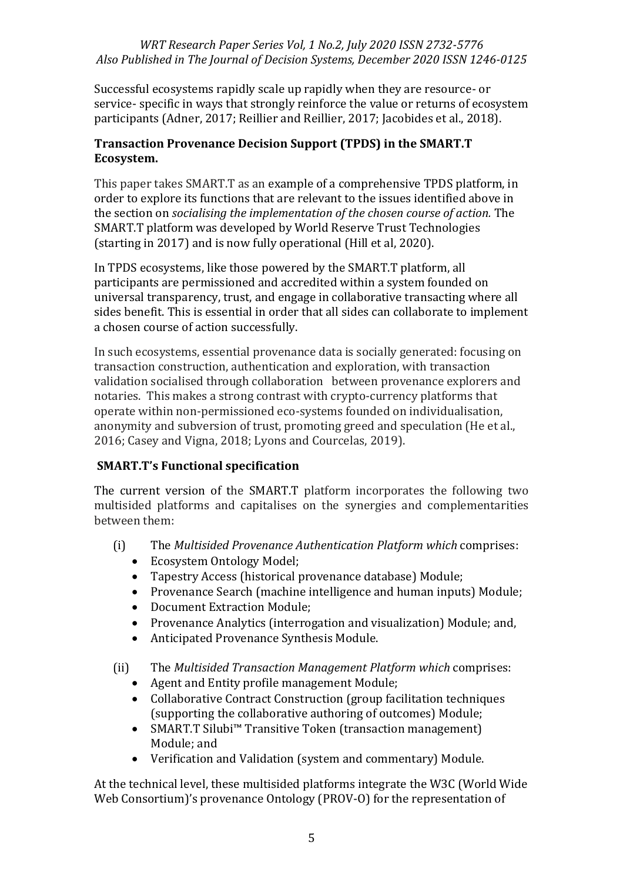Successful ecosystems rapidly scale up rapidly when they are resource- or service- specific in ways that strongly reinforce the value or returns of ecosystem participants (Adner, 2017; Reillier and Reillier, 2017; Jacobides et al., 2018).

## **Transaction Provenance Decision Support (TPDS) in the SMART.T Ecosystem.**

This paper takes SMART.T as an example of a comprehensive TPDS platform, in order to explore its functions that are relevant to the issues identified above in the section on *socialising the implementation of the chosen course of action.* The SMART.T platform was developed by World Reserve Trust Technologies (starting in 2017) and is now fully operational (Hill et al, 2020).

In TPDS ecosystems, like those powered by the SMART.T platform, all participants are permissioned and accredited within a system founded on universal transparency, trust, and engage in collaborative transacting where all sides benefit. This is essential in order that all sides can collaborate to implement a chosen course of action successfully.

In such ecosystems, essential provenance data is socially generated: focusing on transaction construction, authentication and exploration, with transaction validation socialised through collaboration between provenance explorers and notaries. This makes a strong contrast with crypto-currency platforms that operate within non-permissioned eco-systems founded on individualisation, anonymity and subversion of trust, promoting greed and speculation (He et al., 2016; Casey and Vigna, 2018; Lyons and Courcelas, 2019).

## **SMART.T's Functional specification**

The current version of the SMART.T platform incorporates the following two multisided platforms and capitalises on the synergies and complementarities between them:

- (i) The *Multisided Provenance Authentication Platform which* comprises:
	- Ecosystem Ontology Model;
	- Tapestry Access (historical provenance database) Module;
	- Provenance Search (machine intelligence and human inputs) Module;
	- Document Extraction Module;
	- Provenance Analytics (interrogation and visualization) Module; and,
	- Anticipated Provenance Synthesis Module.

(ii) The *Multisided Transaction Management Platform which* comprises:

- Agent and Entity profile management Module;
- Collaborative Contract Construction (group facilitation techniques (supporting the collaborative authoring of outcomes) Module;
- SMART.T Silubi™ Transitive Token (transaction management) Module; and
- Verification and Validation (system and commentary) Module.

At the technical level, these multisided platforms integrate the W3C (World Wide Web Consortium)'s provenance Ontology (PROV-O) for the representation of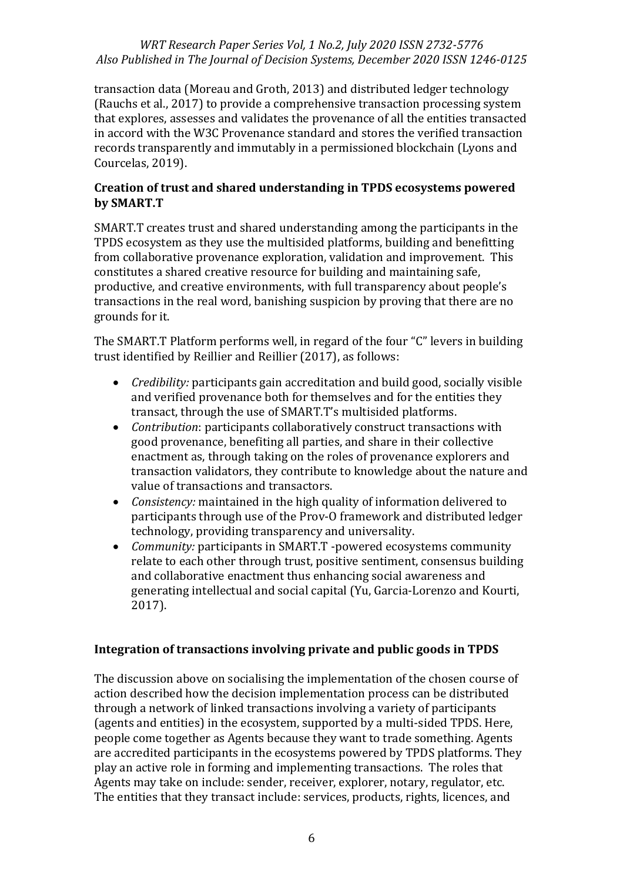transaction data (Moreau and Groth, 2013) and distributed ledger technology (Rauchs et al., 2017) to provide a comprehensive transaction processing system that explores, assesses and validates the provenance of all the entities transacted in accord with the W3C Provenance standard and stores the verified transaction records transparently and immutably in a permissioned blockchain (Lyons and Courcelas, 2019).

### **Creation of trust and shared understanding in TPDS ecosystems powered by SMART.T**

SMART.T creates trust and shared understanding among the participants in the TPDS ecosystem as they use the multisided platforms, building and benefitting from collaborative provenance exploration, validation and improvement. This constitutes a shared creative resource for building and maintaining safe, productive, and creative environments, with full transparency about people's transactions in the real word, banishing suspicion by proving that there are no grounds for it.

The SMART.T Platform performs well, in regard of the four "C" levers in building trust identified by Reillier and Reillier (2017), as follows:

- *Credibility:* participants gain accreditation and build good, socially visible and verified provenance both for themselves and for the entities they transact, through the use of SMART.T's multisided platforms.
- *Contribution*: participants collaboratively construct transactions with good provenance, benefiting all parties, and share in their collective enactment as, through taking on the roles of provenance explorers and transaction validators, they contribute to knowledge about the nature and value of transactions and transactors.
- *Consistency:* maintained in the high quality of information delivered to participants through use of the Prov-O framework and distributed ledger technology, providing transparency and universality.
- *Community:* participants in SMART.T -powered ecosystems community relate to each other through trust, positive sentiment, consensus building and collaborative enactment thus enhancing social awareness and generating intellectual and social capital (Yu, Garcia-Lorenzo and Kourti, 2017).

## **Integration of transactions involving private and public goods in TPDS**

The discussion above on socialising the implementation of the chosen course of action described how the decision implementation process can be distributed through a network of linked transactions involving a variety of participants (agents and entities) in the ecosystem, supported by a multi-sided TPDS. Here, people come together as Agents because they want to trade something. Agents are accredited participants in the ecosystems powered by TPDS platforms. They play an active role in forming and implementing transactions. The roles that Agents may take on include: sender, receiver, explorer, notary, regulator, etc. The entities that they transact include: services, products, rights, licences, and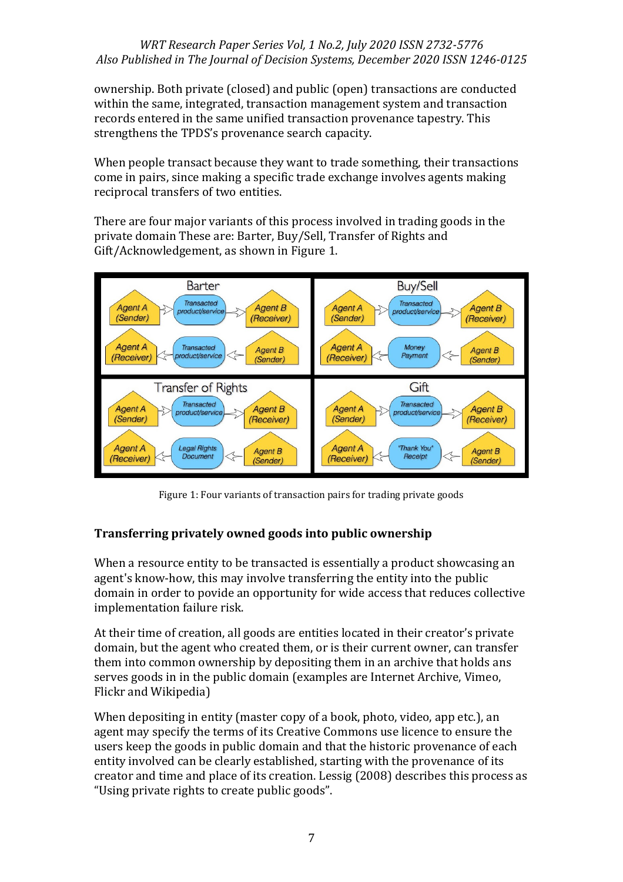ownership. Both private (closed) and public (open) transactions are conducted within the same, integrated, transaction management system and transaction records entered in the same unified transaction provenance tapestry. This strengthens the TPDS's provenance search capacity.

When people transact because they want to trade something, their transactions come in pairs, since making a specific trade exchange involves agents making reciprocal transfers of two entities.

There are four major variants of this process involved in trading goods in the private domain These are: Barter, Buy/Sell, Transfer of Rights and Gift/Acknowledgement, as shown in Figure 1.



Figure 1: Four variants of transaction pairs for trading private goods

## **Transferring privately owned goods into public ownership**

When a resource entity to be transacted is essentially a product showcasing an agent's know-how, this may involve transferring the entity into the public domain in order to povide an opportunity for wide access that reduces collective implementation failure risk.

At their time of creation, all goods are entities located in their creator's private domain, but the agent who created them, or is their current owner, can transfer them into common ownership by depositing them in an archive that holds ans serves goods in in the public domain (examples are Internet Archive, Vimeo, Flickr and Wikipedia)

When depositing in entity (master copy of a book, photo, video, app etc.), an agent may specify the terms of its Creative Commons use licence to ensure the users keep the goods in public domain and that the historic provenance of each entity involved can be clearly established, starting with the provenance of its creator and time and place of its creation. Lessig (2008) describes this process as "Using private rights to create public goods".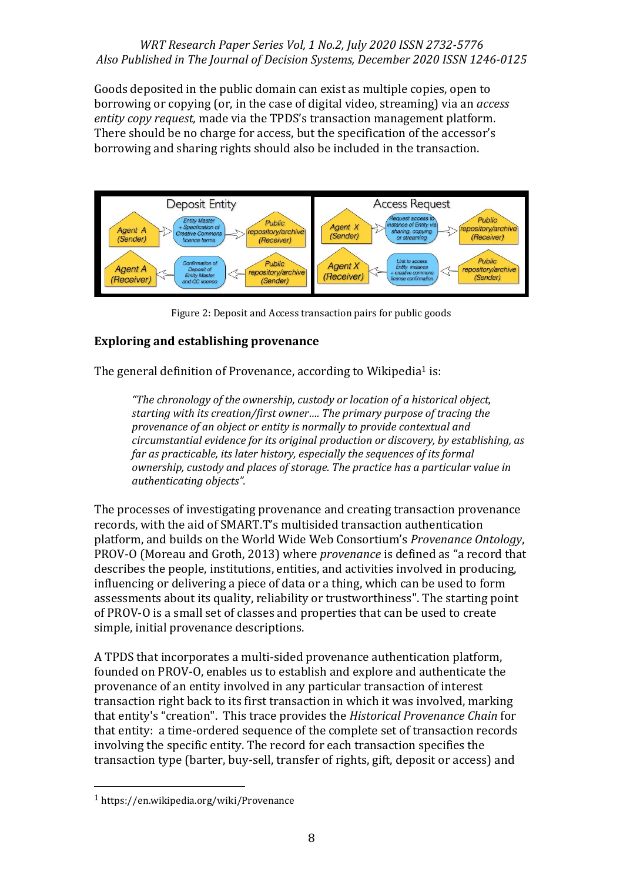Goods deposited in the public domain can exist as multiple copies, open to borrowing or copying (or, in the case of digital video, streaming) via an *access entity copy request,* made via the TPDS's transaction management platform. There should be no charge for access, but the specification of the accessor's borrowing and sharing rights should also be included in the transaction.



Figure 2: Deposit and Access transaction pairs for public goods

## **Exploring and establishing provenance**

The general definition of Provenance, according to Wikipedia<sup>1</sup> is:

*"The chronology of the ownership, custody or location of a historical object, starting with its creation/first owner…. The primary purpose of tracing the provenance of an object or entity is normally to provide contextual and circumstantial evidence for its original production or discovery, by establishing, as far as practicable, its later history, especially the sequences of its formal ownership, custody and places of storage. The practice has a particular value in authenticating objects".*

The processes of investigating provenance and creating transaction provenance records, with the aid of SMART.T's multisided transaction authentication platform, and builds on the World Wide Web Consortium's *Provenance Ontology*, PROV-O (Moreau and Groth, 2013) where *provenance* is defined as "a record that describes the people, institutions, entities, and activities involved in producing, influencing or delivering a piece of data or a thing, which can be used to form assessments about its quality, reliability or trustworthiness". The starting point of PROV-O is a small set of classes and properties that can be used to create simple, initial provenance descriptions.

A TPDS that incorporates a multi-sided provenance authentication platform, founded on PROV-O, enables us to establish and explore and authenticate the provenance of an entity involved in any particular transaction of interest transaction right back to its first transaction in which it was involved, marking that entity's "creation". This trace provides the *Historical Provenance Chain* for that entity: a time-ordered sequence of the complete set of transaction records involving the specific entity. The record for each transaction specifies the transaction type (barter, buy-sell, transfer of rights, gift, deposit or access) and

<sup>1</sup> https://en.wikipedia.org/wiki/Provenance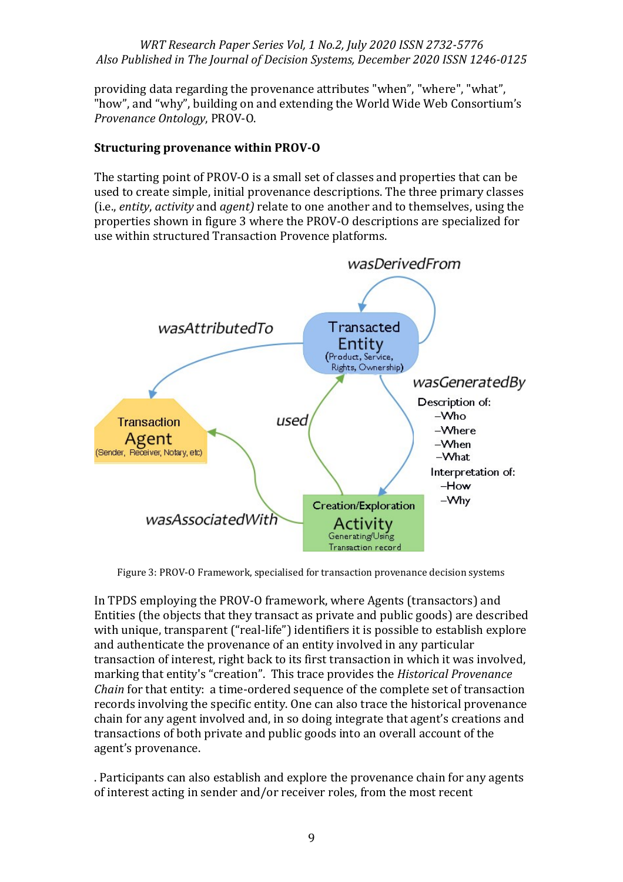providing data regarding the provenance attributes "when", "where", "what", "how", and "why", building on and extending the World Wide Web Consortium's *Provenance Ontology*, PROV-O.

# **Structuring provenance within PROV-O**

The starting point of PROV-O is a small set of classes and properties that can be used to create simple, initial provenance descriptions. The three primary classes (i.e., *entity*, *activity* and *agent)* relate to one another and to themselves, using the properties shown in figure 3 where the PROV-O descriptions are specialized for use within structured Transaction Provence platforms.



Figure 3: PROV-O Framework, specialised for transaction provenance decision systems

In TPDS employing the PROV-O framework, where Agents (transactors) and Entities (the objects that they transact as private and public goods) are described with unique, transparent ("real-life") identifiers it is possible to establish explore and authenticate the provenance of an entity involved in any particular transaction of interest, right back to its first transaction in which it was involved, marking that entity's "creation". This trace provides the *Historical Provenance Chain* for that entity: a time-ordered sequence of the complete set of transaction records involving the specific entity. One can also trace the historical provenance chain for any agent involved and, in so doing integrate that agent's creations and transactions of both private and public goods into an overall account of the agent's provenance.

. Participants can also establish and explore the provenance chain for any agents of interest acting in sender and/or receiver roles, from the most recent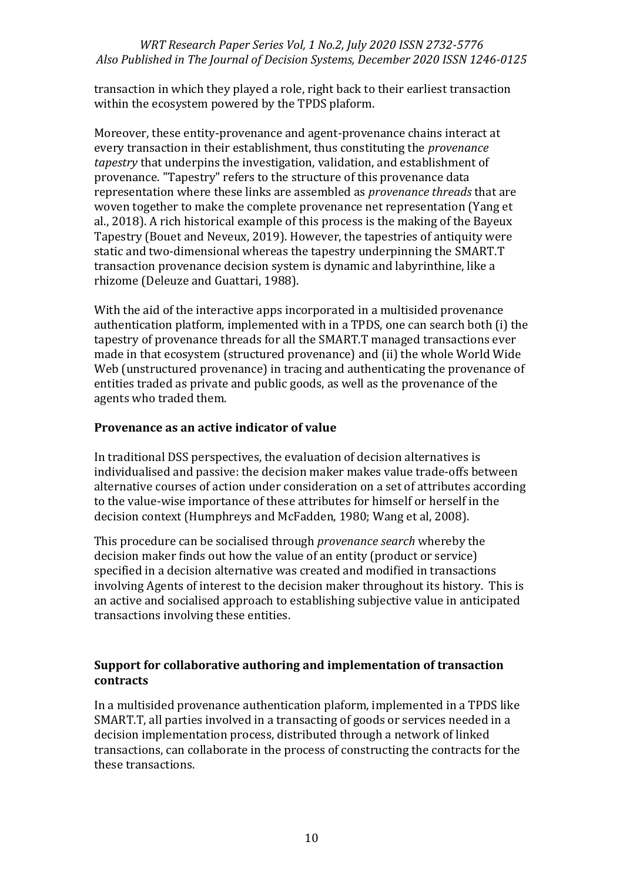transaction in which they played a role, right back to their earliest transaction within the ecosystem powered by the TPDS plaform.

Moreover, these entity-provenance and agent-provenance chains interact at every transaction in their establishment, thus constituting the *provenance tapestry* that underpins the investigation, validation, and establishment of provenance. "Tapestry" refers to the structure of this provenance data representation where these links are assembled as *provenance threads* that are woven together to make the complete provenance net representation (Yang et al., 2018). A rich historical example of this process is the making of the Bayeux Tapestry (Bouet and Neveux, 2019). However, the tapestries of antiquity were static and two-dimensional whereas the tapestry underpinning the SMART.T transaction provenance decision system is dynamic and labyrinthine, like a rhizome (Deleuze and Guattari, 1988).

With the aid of the interactive apps incorporated in a multisided provenance authentication platform, implemented with in a TPDS, one can search both (i) the tapestry of provenance threads for all the SMART.T managed transactions ever made in that ecosystem (structured provenance) and (ii) the whole World Wide Web (unstructured provenance) in tracing and authenticating the provenance of entities traded as private and public goods, as well as the provenance of the agents who traded them.

### **Provenance as an active indicator of value**

In traditional DSS perspectives, the evaluation of decision alternatives is individualised and passive: the decision maker makes value trade-offs between alternative courses of action under consideration on a set of attributes according to the value-wise importance of these attributes for himself or herself in the decision context (Humphreys and McFadden, 1980; Wang et al, 2008).

This procedure can be socialised through *provenance search* whereby the decision maker finds out how the value of an entity (product or service) specified in a decision alternative was created and modified in transactions involving Agents of interest to the decision maker throughout its history. This is an active and socialised approach to establishing subjective value in anticipated transactions involving these entities.

## **Support for collaborative authoring and implementation of transaction contracts**

In a multisided provenance authentication plaform, implemented in a TPDS like SMART.T, all parties involved in a transacting of goods or services needed in a decision implementation process, distributed through a network of linked transactions, can collaborate in the process of constructing the contracts for the these transactions.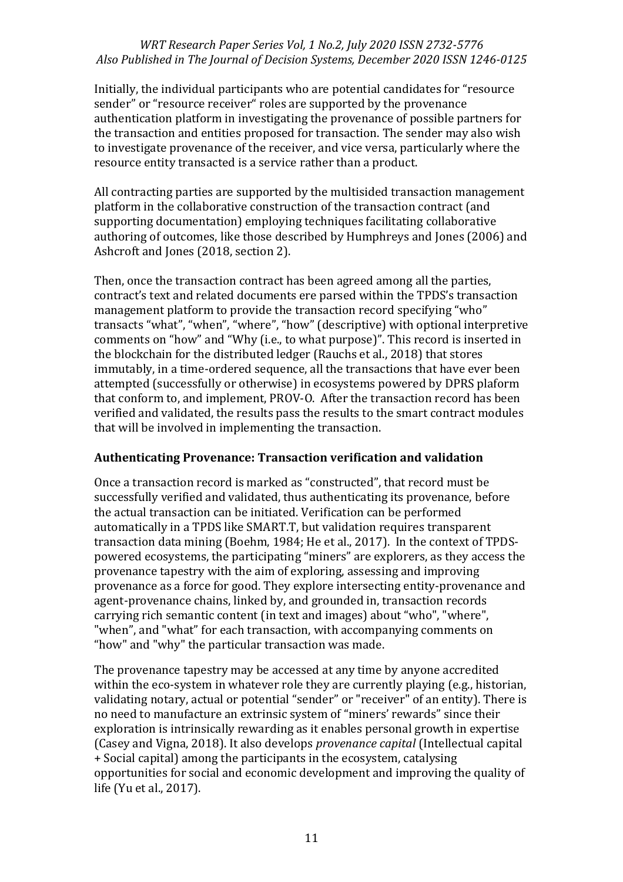Initially, the individual participants who are potential candidates for "resource sender" or "resource receiver" roles are supported by the provenance authentication platform in investigating the provenance of possible partners for the transaction and entities proposed for transaction. The sender may also wish to investigate provenance of the receiver, and vice versa, particularly where the resource entity transacted is a service rather than a product.

All contracting parties are supported by the multisided transaction management platform in the collaborative construction of the transaction contract (and supporting documentation) employing techniques facilitating collaborative authoring of outcomes, like those described by Humphreys and Jones (2006) and Ashcroft and Jones (2018, section 2).

Then, once the transaction contract has been agreed among all the parties, contract's text and related documents ere parsed within the TPDS's transaction management platform to provide the transaction record specifying "who" transacts "what", "when", "where", "how" (descriptive) with optional interpretive comments on "how" and "Why (i.e., to what purpose)". This record is inserted in the blockchain for the distributed ledger (Rauchs et al., 2018) that stores immutably, in a time-ordered sequence, all the transactions that have ever been attempted (successfully or otherwise) in ecosystems powered by DPRS plaform that conform to, and implement, PROV-O. After the transaction record has been verified and validated, the results pass the results to the smart contract modules that will be involved in implementing the transaction.

### **Authenticating Provenance: Transaction verification and validation**

Once a transaction record is marked as "constructed", that record must be successfully verified and validated, thus authenticating its provenance, before the actual transaction can be initiated. Verification can be performed automatically in a TPDS like SMART.T, but validation requires transparent transaction data mining (Boehm, 1984; He et al., 2017). In the context of TPDSpowered ecosystems, the participating "miners" are explorers, as they access the provenance tapestry with the aim of exploring, assessing and improving provenance as a force for good. They explore intersecting entity-provenance and agent-provenance chains, linked by, and grounded in, transaction records carrying rich semantic content (in text and images) about "who", "where", "when", and "what" for each transaction, with accompanying comments on "how" and "why" the particular transaction was made.

The provenance tapestry may be accessed at any time by anyone accredited within the eco-system in whatever role they are currently playing (e.g., historian, validating notary, actual or potential "sender" or "receiver" of an entity). There is no need to manufacture an extrinsic system of "miners' rewards" since their exploration is intrinsically rewarding as it enables personal growth in expertise (Casey and Vigna, 2018). It also develops *provenance capital* (Intellectual capital + Social capital) among the participants in the ecosystem, catalysing opportunities for social and economic development and improving the quality of life (Yu et al., 2017).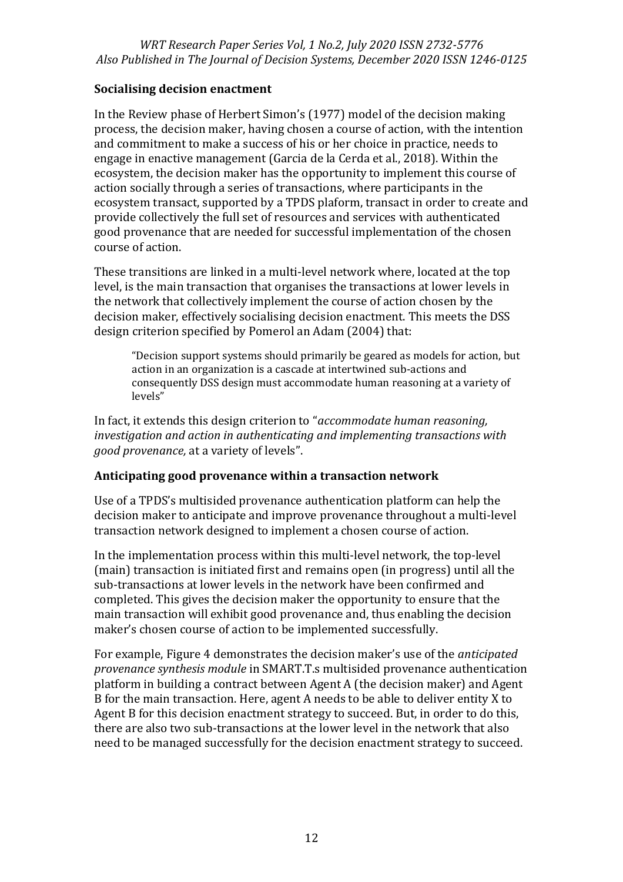## **Socialising decision enactment**

In the Review phase of Herbert Simon's (1977) model of the decision making process, the decision maker, having chosen a course of action, with the intention and commitment to make a success of his or her choice in practice, needs to engage in enactive management (Garcia de la Cerda et al., 2018). Within the ecosystem, the decision maker has the opportunity to implement this course of action socially through a series of transactions, where participants in the ecosystem transact, supported by a TPDS plaform, transact in order to create and provide collectively the full set of resources and services with authenticated good provenance that are needed for successful implementation of the chosen course of action.

These transitions are linked in a multi-level network where, located at the top level, is the main transaction that organises the transactions at lower levels in the network that collectively implement the course of action chosen by the decision maker, effectively socialising decision enactment. This meets the DSS design criterion specified by Pomerol an Adam (2004) that:

"Decision support systems should primarily be geared as models for action, but action in an organization is a cascade at intertwined sub-actions and consequently DSS design must accommodate human reasoning at a variety of levels"

In fact, it extends this design criterion to "*accommodate human reasoning, investigation and action in authenticating and implementing transactions with good provenance,* at a variety of levels".

## **Anticipating good provenance within a transaction network**

Use of a TPDS's multisided provenance authentication platform can help the decision maker to anticipate and improve provenance throughout a multi-level transaction network designed to implement a chosen course of action.

In the implementation process within this multi-level network, the top-level (main) transaction is initiated first and remains open (in progress) until all the sub-transactions at lower levels in the network have been confirmed and completed. This gives the decision maker the opportunity to ensure that the main transaction will exhibit good provenance and, thus enabling the decision maker's chosen course of action to be implemented successfully.

For example, Figure 4 demonstrates the decision maker's use of the *anticipated provenance synthesis module* in SMART.T.s multisided provenance authentication platform in building a contract between Agent A (the decision maker) and Agent B for the main transaction. Here, agent A needs to be able to deliver entity X to Agent B for this decision enactment strategy to succeed. But, in order to do this, there are also two sub-transactions at the lower level in the network that also need to be managed successfully for the decision enactment strategy to succeed.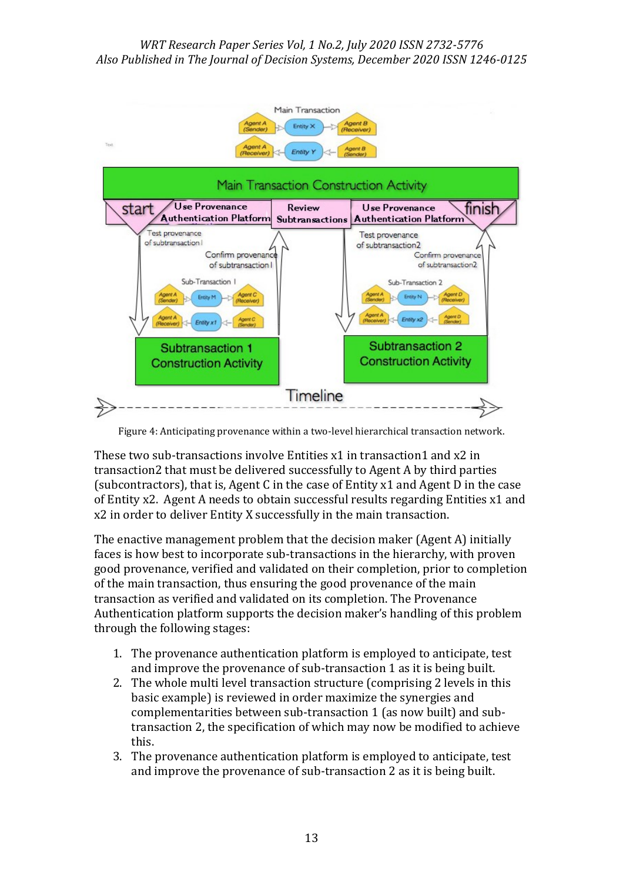

Figure 4: Anticipating provenance within a two-level hierarchical transaction network.

These two sub-transactions involve Entities x1 in transaction1 and x2 in transaction2 that must be delivered successfully to Agent A by third parties (subcontractors), that is, Agent C in the case of Entity x1 and Agent D in the case of Entity x2. Agent A needs to obtain successful results regarding Entities x1 and x2 in order to deliver Entity X successfully in the main transaction.

The enactive management problem that the decision maker (Agent A) initially faces is how best to incorporate sub-transactions in the hierarchy, with proven good provenance, verified and validated on their completion, prior to completion of the main transaction, thus ensuring the good provenance of the main transaction as verified and validated on its completion. The Provenance Authentication platform supports the decision maker's handling of this problem through the following stages:

- 1. The provenance authentication platform is employed to anticipate, test and improve the provenance of sub-transaction 1 as it is being built.
- 2. The whole multi level transaction structure (comprising 2 levels in this basic example) is reviewed in order maximize the synergies and complementarities between sub-transaction 1 (as now built) and subtransaction 2, the specification of which may now be modified to achieve this.
- 3. The provenance authentication platform is employed to anticipate, test and improve the provenance of sub-transaction 2 as it is being built.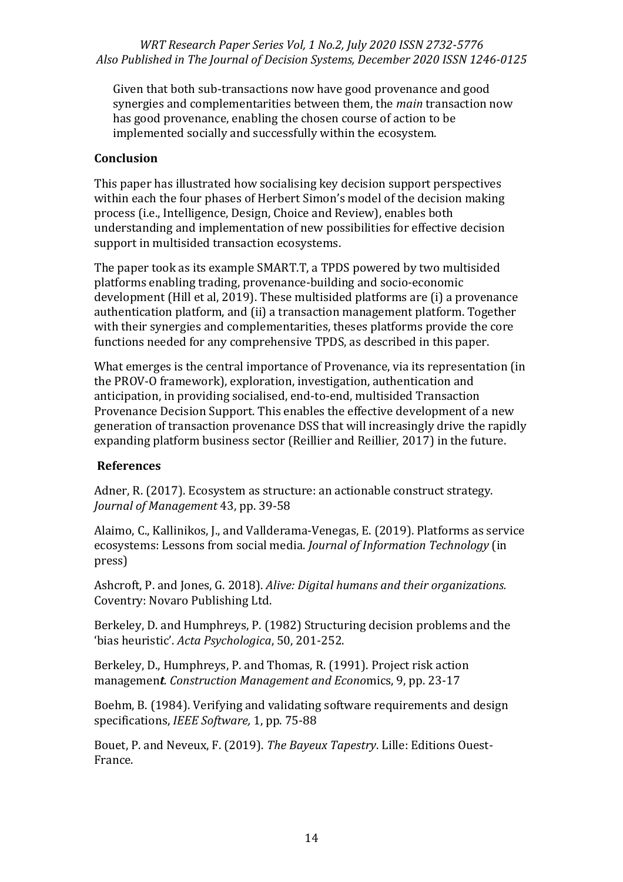Given that both sub-transactions now have good provenance and good synergies and complementarities between them, the *main* transaction now has good provenance, enabling the chosen course of action to be implemented socially and successfully within the ecosystem.

## **Conclusion**

This paper has illustrated how socialising key decision support perspectives within each the four phases of Herbert Simon's model of the decision making process (i.e., Intelligence, Design, Choice and Review), enables both understanding and implementation of new possibilities for effective decision support in multisided transaction ecosystems.

The paper took as its example SMART.T, a TPDS powered by two multisided platforms enabling trading, provenance-building and socio-economic development (Hill et al, 2019). These multisided platforms are (i) a provenance authentication platform, and (ii) a transaction management platform. Together with their synergies and complementarities, theses platforms provide the core functions needed for any comprehensive TPDS, as described in this paper.

What emerges is the central importance of Provenance, via its representation (in the PROV-O framework), exploration, investigation, authentication and anticipation, in providing socialised, end-to-end, multisided Transaction Provenance Decision Support. This enables the effective development of a new generation of transaction provenance DSS that will increasingly drive the rapidly expanding platform business sector (Reillier and Reillier, 2017) in the future.

### **References**

Adner, R. (2017). Ecosystem as structure: an actionable construct strategy. *Journal of Management* 43, pp. 39-58

Alaimo, C., Kallinikos, J., and Vallderama-Venegas, E. (2019). Platforms as service ecosystems: Lessons from social media. *Journal of Information Technology* (in press)

Ashcroft, P. and Jones, G. 2018). *Alive: Digital humans and their organizations.* Coventry: Novaro Publishing Ltd.

Berkeley, D. and Humphreys, P. (1982) Structuring decision problems and the 'bias heuristic'. *Acta Psychologica*, 50, 201-252.

Berkeley, D., Humphreys, P. and Thomas, R. (1991). Project risk action managemen*t. Construction Management and Econo*mics, 9, pp. 23-17

Boehm, B. (1984). Verifying and validating software requirements and design specifications, *IEEE Software,* 1, pp. 75-88

Bouet, P. and Neveux, F. (2019). *The Bayeux Tapestry*. Lille: Editions Ouest-France.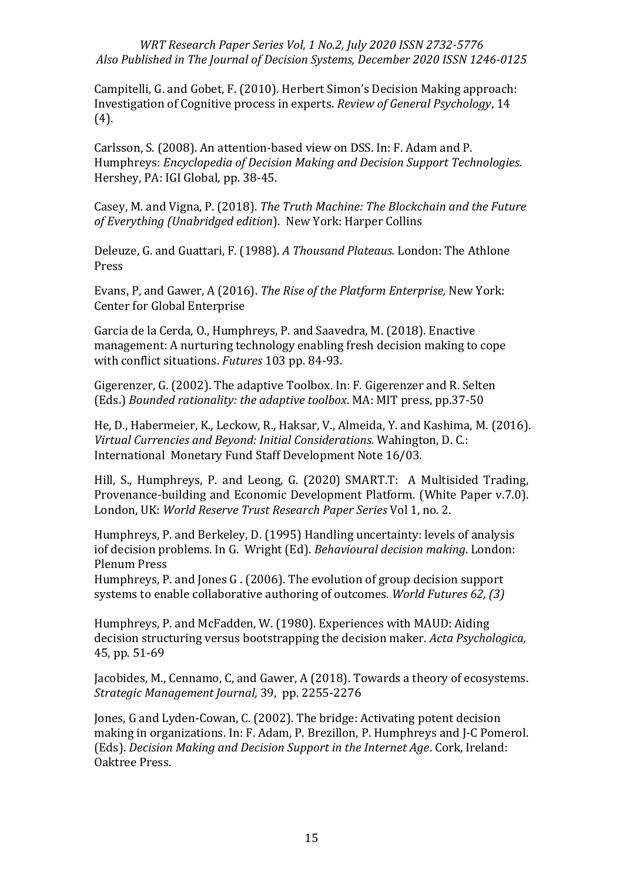Campitelli, G. and Gobet, F. (2010). Herbert Simon's Decision Making approach: Investigation of Cognitive process in experts. *Review of General Psychology*, 14 (4).

Carlsson, S. (2008). An attention-based view on DSS. In: F. Adam and P. Humphreys: *Encyclopedia of Decision Making and Decision Support Technologies.* Hershey, PA: IGI Global, pp. 38-45.

Casey, M. and Vigna, P. (2018). *The Truth Machine: The Blockchain and the Future of Everything (Unabridged edition*). New York: Harper Collins

Deleuze, G. and Guattari, F. (1988). *A Thousand Plateaus.* London: The Athlone Press

Evans, P, and Gawer, A (2016). *The Rise of the Platform Enterprise,* New York: Center for Global Enterprise

Garcia de la Cerda, O., Humphreys, P. and Saavedra, M. (2018). Enactive management: A nurturing technology enabling fresh decision making to cope with conflict situations. *Futures* 103 pp. 84-93.

Gigerenzer, G. (2002). The adaptive Toolbox. In: F. Gigerenzer and R. Selten (Eds.) *Bounded rationality: the adaptive toolbox*. MA: MIT press, pp.37-50

He, D., Habermeier, K., Leckow, R., Haksar, V., Almeida, Y. and Kashima, M. (2016). *Virtual Currencies and Beyond: Initial Considerations.* Wahington, D. C.: International Monetary Fund Staff Development Note 16/03.

Hill, S., Humphreys, P. and Leong, G. (2020) SMART.T: A Multisided Trading, Provenance-building and Economic Development Platform*.* (White Paper v.7.0). London, UK: *World Reserve Trust Research Paper Series* Vol 1, no. 2.

Humphreys, P. and Berkeley, D. (1995) Handling uncertainty: levels of analysis iof decision problems. In G. Wright (Ed). *Behavioural decision making*. London: Plenum Press

Humphreys, P. and Jones G . (2006). The evolution of group decision support systems to enable collaborative authoring of outcomes. *World Futures 62, (3)*

Humphreys, P. and McFadden, W. (1980). Experiences with MAUD: Aiding decision structuring versus bootstrapping the decision maker. *Acta Psychologica,* 45, pp. 51-69

Jacobides, M., Cennamo, C, and Gawer, A (2018). Towards a theory of ecosystems. *Strategic Management Journal,* 39, pp. 2255-2276

Jones, G and Lyden-Cowan, C. (2002). The bridge: Activating potent decision making in organizations. In: F. Adam, P. Brezillon, P. Humphreys and J-C Pomerol. (Eds). *Decision Making and Decision Support in the Internet Age*. Cork, Ireland: Oaktree Press.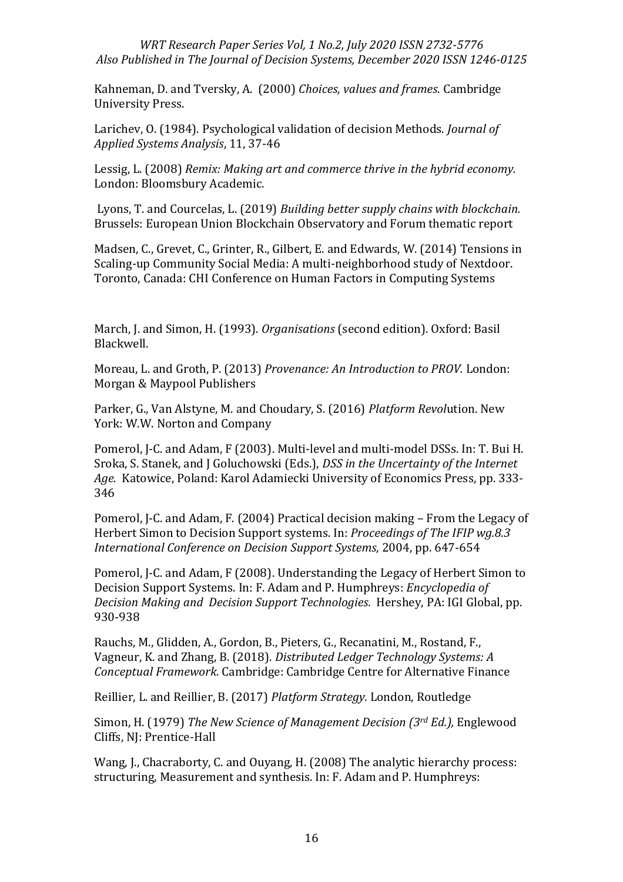Kahneman, D. and Tversky, A. (2000) *Choices, values and frames*. Cambridge University Press.

Larichev, O. (1984). Psychological validation of decision Methods. *Journal of Applied Systems Analysis*, 11, 37-46

Lessig, L. (2008) *Remix: Making art and commerce thrive in the hybrid economy.* London: Bloomsbury Academic.

Lyons, T. and Courcelas, L. (2019) *Building better supply chains with blockchain.* Brussels: European Union Blockchain Observatory and Forum thematic report

Madsen, C., Grevet, C., Grinter, R., Gilbert, E. and Edwards, W. (2014) Tensions in Scaling-up Community Social Media: A multi-neighborhood study of Nextdoor. Toronto, Canada: CHI Conference on Human Factors in Computing Systems

March, J. and Simon, H. (1993). *Organisations* (second edition). Oxford: Basil Blackwell.

Moreau, L. and Groth, P. (2013) *Provenance: An Introduction to PROV.* London: Morgan & Maypool Publishers

Parker, G., Van Alstyne, M. and Choudary, S. (2016) *Platform Revol*ution. New York: W.W. Norton and Company

Pomerol, J-C. and Adam, F (2003). Multi-level and multi-model DSSs. In: T. Bui H. Sroka, S. Stanek, and J Goluchowski (Eds.), *DSS in the Uncertainty of the Internet Age.* Katowice, Poland: Karol Adamiecki University of Economics Press, pp. 333- 346

Pomerol, J-C. and Adam, F. (2004) Practical decision making – From the Legacy of Herbert Simon to Decision Support systems. In: *Proceedings of The IFIP wg.8.3 International Conference on Decision Support Systems*, 2004, pp. 647-654

Pomerol, J-C. and Adam, F (2008). Understanding the Legacy of Herbert Simon to Decision Support Systems. In: F. Adam and P. Humphreys: *Encyclopedia of Decision Making and Decision Support Technologies.* Hershey, PA: IGI Global, pp. 930-938

Rauchs, M., Glidden, A., Gordon, B., Pieters, G., Recanatini, M., Rostand, F., Vagneur, K. and Zhang, B. (2018). *Distributed Ledger Technology Systems: A Conceptual Framework.* Cambridge: Cambridge Centre for Alternative Finance

Reillier, L. and Reillier, B. (2017) *Platform Strategy.* London, Routledge

Simon, H. (1979) *The New Science of Management Decision (3rd Ed.),* Englewood Cliffs, NJ: Prentice-Hall

Wang, J., Chacraborty, C. and Ouyang, H. (2008) The analytic hierarchy process: structuring, Measurement and synthesis. In: F. Adam and P. Humphreys: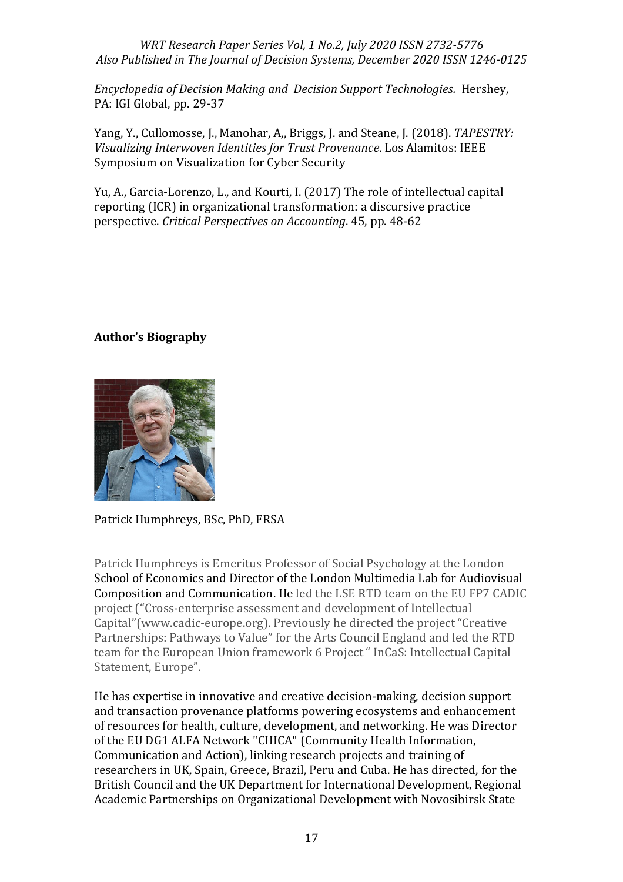*Encyclopedia of Decision Making and Decision Support Technologies.* Hershey, PA: IGI Global, pp. 29-37

Yang, Y., Cullomosse, J., Manohar, A,, Briggs, J. and Steane, J. (2018). *TAPESTRY: Visualizing Interwoven Identities for Trust Provenance*. Los Alamitos: IEEE Symposium on Visualization for Cyber Security

Yu, A., Garcia-Lorenzo, L., and Kourti, I. (2017) The role of intellectual capital reporting (ICR) in organizational transformation: a discursive practice perspective. *Critical Perspectives on Accounting*. 45, pp. 48-62

## **Author's Biography**



Patrick Humphreys, BSc, PhD, FRSA

Patrick Humphreys is Emeritus Professor of Social Psychology at the London School of Economics and Director of the London Multimedia Lab for Audiovisual Composition and Communication. He led the LSE RTD team on the EU FP7 CADIC project ("Cross-enterprise assessment and development of Intellectual Capital"(www.cadic-europe.org). Previously he directed the project "Creative Partnerships: Pathways to Value" for the Arts Council England and led the RTD team for the European Union framework 6 Project " InCaS: Intellectual Capital Statement, Europe".

He has expertise in innovative and creative decision-making, decision support and transaction provenance platforms powering ecosystems and enhancement of resources for health, culture, development, and networking. He was Director of the EU DG1 ALFA Network "CHICA" (Community Health Information, Communication and Action), linking research projects and training of researchers in UK, Spain, Greece, Brazil, Peru and Cuba. He has directed, for the British Council and the UK Department for International Development, Regional Academic Partnerships on Organizational Development with Novosibirsk State